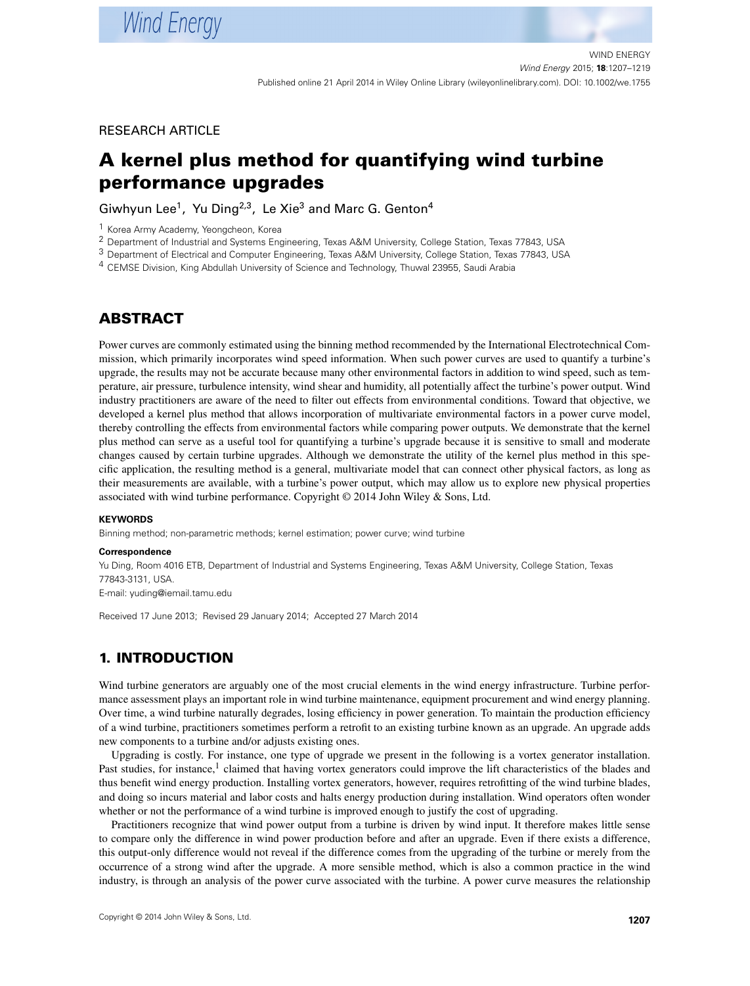## RESEARCH ARTICLE

# **A kernel plus method for quantifying wind turbine performance upgrades**

Giwhyun Lee<sup>1</sup>, Yu Ding<sup>2,3</sup>, Le Xie<sup>3</sup> and Marc G. Genton<sup>4</sup>

1 Korea Army Academy, Yeongcheon, Korea

2 Department of Industrial and Systems Engineering, Texas A&M University, College Station, Texas 77843, USA

3 Department of Electrical and Computer Engineering, Texas A&M University, College Station, Texas 77843, USA

<span id="page-0-0"></span>4 CEMSE Division, King Abdullah University of Science and Technology, Thuwal 23955, Saudi Arabia

# **ABSTRACT**

Power curves are commonly estimated using the binning method recommended by the International Electrotechnical Commission, which primarily incorporates wind speed information. When such power curves are used to quantify a turbine's upgrade, the results may not be accurate because many other environmental factors in addition to wind speed, such as temperature, air pressure, turbulence intensity, wind shear and humidity, all potentially affect the turbine's power output. Wind industry practitioners are aware of the need to filter out effects from environmental conditions. Toward that objective, we developed a kernel plus method that allows incorporation of multivariate environmental factors in a power curve model, thereby controlling the effects from environmental factors while comparing power outputs. We demonstrate that the kernel plus method can serve as a useful tool for quantifying a turbine's upgrade because it is sensitive to small and moderate changes caused by certain turbine upgrades. Although we demonstrate the utility of the kernel plus method in this specific application, the resulting method is a general, multivariate model that can connect other physical factors, as long as their measurements are available, with a turbine's power output, which may allow us to explore new physical properties associated with wind turbine performance. Copyright © 2014 John Wiley & Sons, Ltd.

#### **KEYWORDS**

Binning method; non-parametric methods; kernel estimation; power curve; wind turbine

#### **Correspondence**

Yu Ding, Room 4016 ETB, Department of Industrial and Systems Engineering, Texas A&M University, College Station, Texas 77843-3131, USA.

E-mail: yuding@iemail.tamu.edu

Received 17 June 2013; Revised 29 January 2014; Accepted 27 March 2014

# **1. INTRODUCTION**

Wind turbine generators are arguably one of the most crucial elements in the wind energy infrastructure. Turbine performance assessment plays an important role in wind turbine maintenance, equipment procurement and wind energy planning. Over time, a wind turbine naturally degrades, losing efficiency in power generation. To maintain the production efficiency of a wind turbine, practitioners sometimes perform a retrofit to an existing turbine known as an upgrade. An upgrade adds new components to a turbine and/or adjusts existing ones.

Upgrading is costly. For instance, one type of upgrade we present in the following is a vortex generator installation. Past studies, for instance,<sup>1</sup> claimed that having vortex generators could improve the lift characteristics of the blades and thus benefit wind energy production. Installing vortex generators, however, requires retrofitting of the wind turbine blades, and doing so incurs material and labor costs and halts energy production during installation. Wind operators often wonder whether or not the performance of a wind turbine is improved enough to justify the cost of upgrading.

Practitioners recognize that wind power output from a turbine is driven by wind input. It therefore makes little sense to compare only the difference in wind power production before and after an upgrade. Even if there exists a difference, this output-only difference would not reveal if the difference comes from the upgrading of the turbine or merely from the occurrence of a strong wind after the upgrade. A more sensible method, which is also a common practice in the wind industry, is through an analysis of the power curve associated with the turbine. A power curve measures the relationship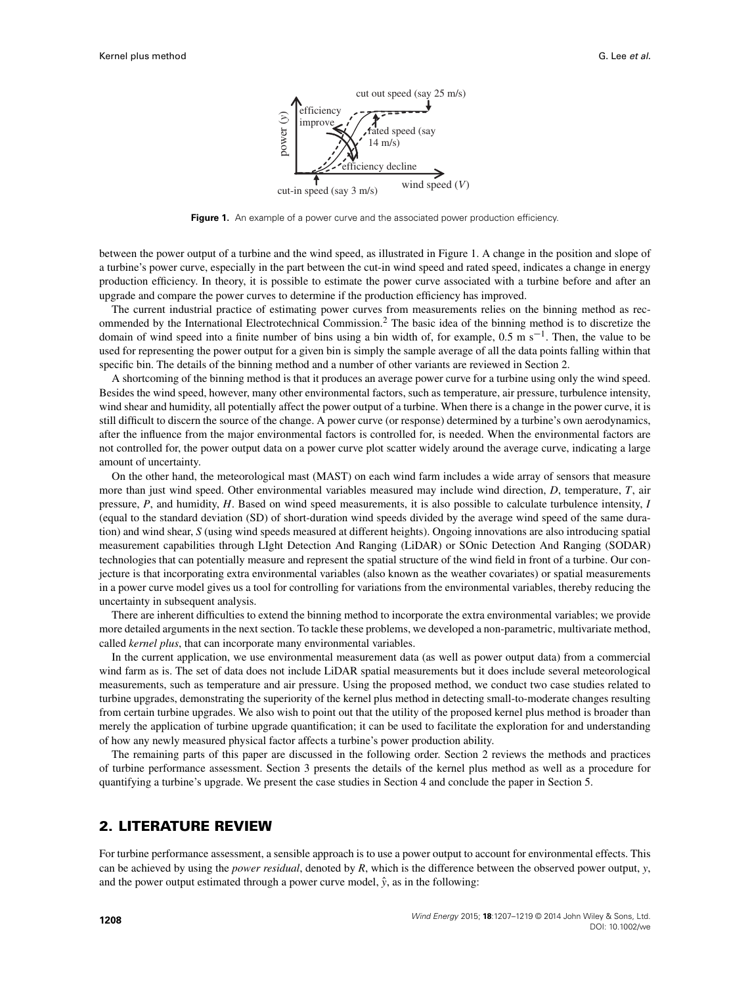

<span id="page-1-0"></span>**Figure 1.** An example of a power curve and the associated power production efficiency.

between the power output of a turbine and the wind speed, as illustrated in Figure [1.](#page-1-0) A change in the position and slope of a turbine's power curve, especially in the part between the cut-in wind speed and rated speed, indicates a change in energy production efficiency. In theory, it is possible to estimate the power curve associated with a turbine before and after an upgrade and compare the power curves to determine if the production efficiency has improved.

The current industrial practice of estimating power curves from measurements relies on the binning method as recommended by the International Electrotechnical Commission.<sup>2</sup> The basic idea of the binning method is to discretize the domain of wind speed into a finite number of bins using a bin width of, for example,  $0.5 \text{ m s}^{-1}$ . Then, the value to be used for representing the power output for a given bin is simply the sample average of all the data points falling within that specific bin. The details of the binning method and a number of other variants are reviewed in Section [2.](#page-1-1)

A shortcoming of the binning method is that it produces an average power curve for a turbine using only the wind speed. Besides the wind speed, however, many other environmental factors, such as temperature, air pressure, turbulence intensity, wind shear and humidity, all potentially affect the power output of a turbine. When there is a change in the power curve, it is still difficult to discern the source of the change. A power curve (or response) determined by a turbine's own aerodynamics, after the influence from the major environmental factors is controlled for, is needed. When the environmental factors are not controlled for, the power output data on a power curve plot scatter widely around the average curve, indicating a large amount of uncertainty.

On the other hand, the meteorological mast (MAST) on each wind farm includes a wide array of sensors that measure more than just wind speed. Other environmental variables measured may include wind direction, *D*, temperature, *T*, air pressure, *P*, and humidity, *H*. Based on wind speed measurements, it is also possible to calculate turbulence intensity, *I* (equal to the standard deviation (SD) of short-duration wind speeds divided by the average wind speed of the same duration) and wind shear, *S* (using wind speeds measured at different heights). Ongoing innovations are also introducing spatial measurement capabilities through LIght Detection And Ranging (LiDAR) or SOnic Detection And Ranging (SODAR) technologies that can potentially measure and represent the spatial structure of the wind field in front of a turbine. Our conjecture is that incorporating extra environmental variables (also known as the weather covariates) or spatial measurements in a power curve model gives us a tool for controlling for variations from the environmental variables, thereby reducing the uncertainty in subsequent analysis.

There are inherent difficulties to extend the binning method to incorporate the extra environmental variables; we provide more detailed arguments in the next section. To tackle these problems, we developed a non-parametric, multivariate method, called *kernel plus*, that can incorporate many environmental variables.

In the current application, we use environmental measurement data (as well as power output data) from a commercial wind farm as is. The set of data does not include LiDAR spatial measurements but it does include several meteorological measurements, such as temperature and air pressure. Using the proposed method, we conduct two case studies related to turbine upgrades, demonstrating the superiority of the kernel plus method in detecting small-to-moderate changes resulting from certain turbine upgrades. We also wish to point out that the utility of the proposed kernel plus method is broader than merely the application of turbine upgrade quantification; it can be used to facilitate the exploration for and understanding of how any newly measured physical factor affects a turbine's power production ability.

The remaining parts of this paper are discussed in the following order. Section [2](#page-1-1) reviews the methods and practices of turbine performance assessment. Section [3](#page-2-0) presents the details of the kernel plus method as well as a procedure for quantifying a turbine's upgrade. We present the case studies in Section [4](#page-6-0) and conclude the paper in Section [5.](#page-11-0)

## <span id="page-1-1"></span>**2. LITERATURE REVIEW**

For turbine performance assessment, a sensible approach is to use a power output to account for environmental effects. This can be achieved by using the *power residual*, denoted by *R*, which is the difference between the observed power output, *y*, and the power output estimated through a power curve model,  $\hat{y}$ , as in the following: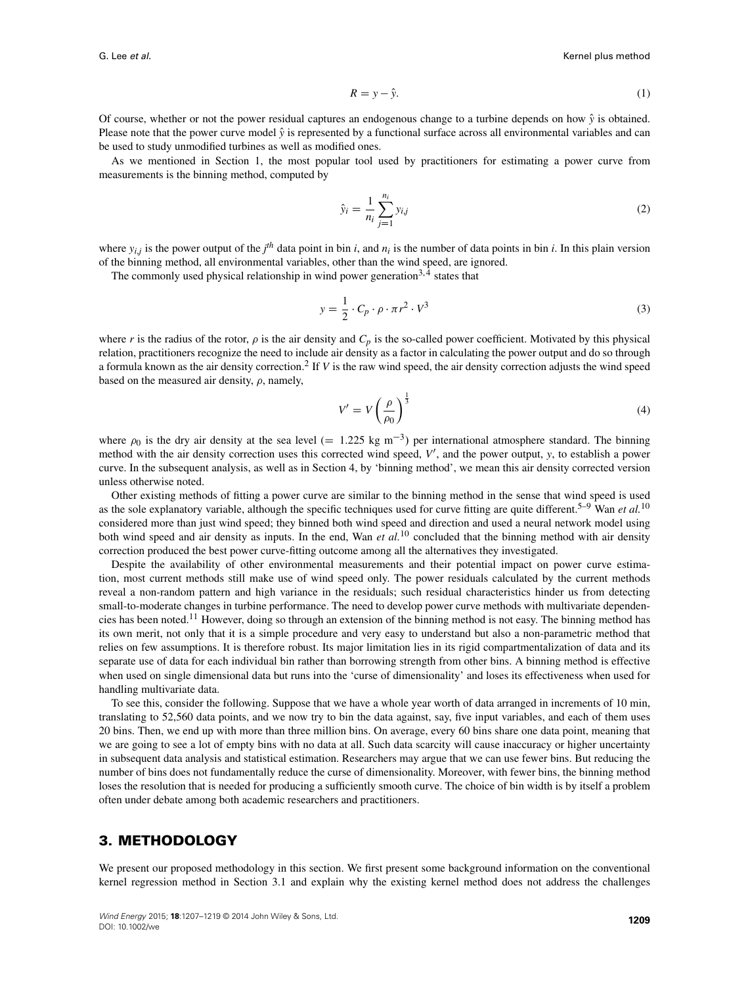$$
R = y - \hat{y}.\tag{1}
$$

Of course, whether or not the power residual captures an endogenous change to a turbine depends on how  $\hat{y}$  is obtained. Please note that the power curve model  $\hat{y}$  is represented by a functional surface across all environmental variables and can be used to study unmodified turbines as well as modified ones.

As we mentioned in Section 1, the most popular tool used by practitioners for estimating a power curve from measurements is the binning method, computed by

$$
\hat{y}_i = \frac{1}{n_i} \sum_{j=1}^{n_i} y_{i,j} \tag{2}
$$

where  $y_{i,j}$  is the power output of the  $j<sup>th</sup>$  data point in bin *i*, and  $n_i$  is the number of data points in bin *i*. In this plain version of the binning method, all environmental variables, other than the wind speed, are ignored.

The commonly used physical relationship in wind power generation<sup>3,4</sup> states that

<span id="page-2-1"></span>
$$
y = \frac{1}{2} \cdot C_p \cdot \rho \cdot \pi r^2 \cdot V^3 \tag{3}
$$

where *r* is the radius of the rotor,  $\rho$  is the air density and  $C_p$  is the so-called power coefficient. Motivated by this physical relation, practitioners recognize the need to include air density as a factor in calculating the power output and do so through a formula known as the air density correction.<sup>2</sup> If *V* is the raw wind speed, the air density correction adjusts the wind speed based on the measured air density,  $\rho$ , namely,

$$
V' = V \left(\frac{\rho}{\rho_0}\right)^{\frac{1}{3}} \tag{4}
$$

where  $\rho_0$  is the dry air density at the sea level (= 1.225 kg m<sup>-3</sup>) per international atmosphere standard. The binning method with the air density correction uses this corrected wind speed,  $V'$ , and the power output,  $y$ , to establish a power curve. In the subsequent analysis, as well as in Section [4,](#page-6-0) by 'binning method', we mean this air density corrected version unless otherwise noted.

Other existing methods of fitting a power curve are similar to the binning method in the sense that wind speed is used as the sole explanatory variable, although the specific techniques used for curve fitting are quite different.<sup>5–9</sup> Wan *et al.*<sup>10</sup> considered more than just wind speed; they binned both wind speed and direction and used a neural network model using both wind speed and air density as inputs. In the end, Wan *et al.*<sup>10</sup> concluded that the binning method with air density correction produced the best power curve-fitting outcome among all the alternatives they investigated.

Despite the availability of other environmental measurements and their potential impact on power curve estimation, most current methods still make use of wind speed only. The power residuals calculated by the current methods reveal a non-random pattern and high variance in the residuals; such residual characteristics hinder us from detecting small-to-moderate changes in turbine performance. The need to develop power curve methods with multivariate dependencies has been noted.11 However, doing so through an extension of the binning method is not easy. The binning method has its own merit, not only that it is a simple procedure and very easy to understand but also a non-parametric method that relies on few assumptions. It is therefore robust. Its major limitation lies in its rigid compartmentalization of data and its separate use of data for each individual bin rather than borrowing strength from other bins. A binning method is effective when used on single dimensional data but runs into the 'curse of dimensionality' and loses its effectiveness when used for handling multivariate data.

To see this, consider the following. Suppose that we have a whole year worth of data arranged in increments of 10 min, translating to 52,560 data points, and we now try to bin the data against, say, five input variables, and each of them uses 20 bins. Then, we end up with more than three million bins. On average, every 60 bins share one data point, meaning that we are going to see a lot of empty bins with no data at all. Such data scarcity will cause inaccuracy or higher uncertainty in subsequent data analysis and statistical estimation. Researchers may argue that we can use fewer bins. But reducing the number of bins does not fundamentally reduce the curse of dimensionality. Moreover, with fewer bins, the binning method loses the resolution that is needed for producing a sufficiently smooth curve. The choice of bin width is by itself a problem often under debate among both academic researchers and practitioners.

## <span id="page-2-0"></span>**3. METHODOLOGY**

We present our proposed methodology in this section. We first present some background information on the conventional kernel regression method in Section [3.1](#page-3-0) and explain why the existing kernel method does not address the challenges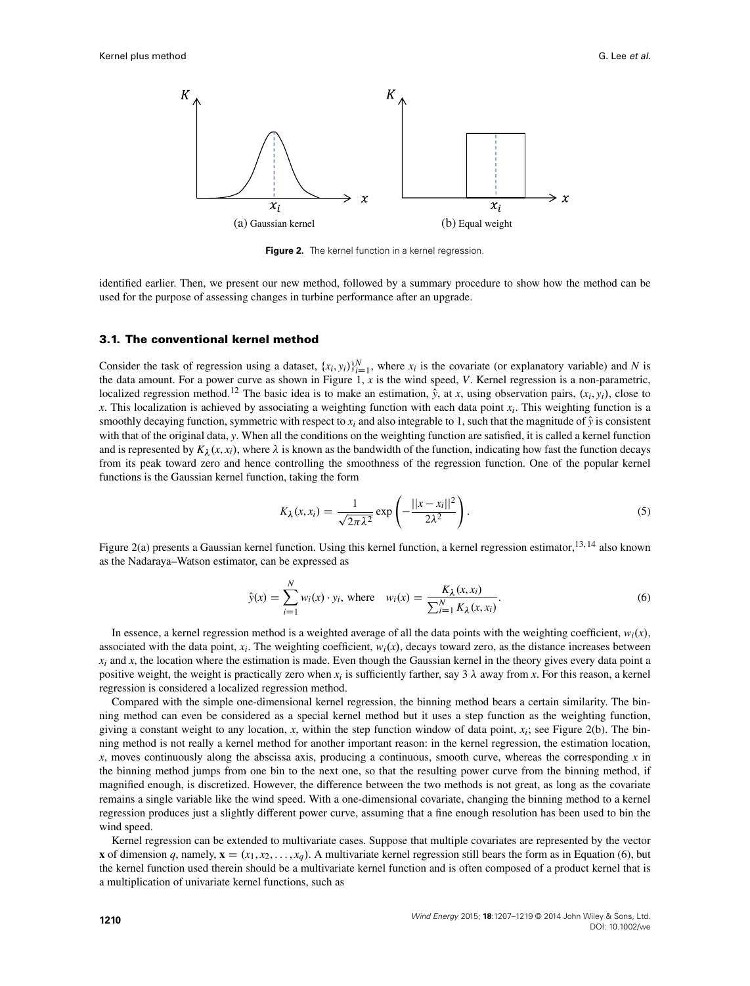

<span id="page-3-1"></span>**Figure 2.** The kernel function in a kernel regression.

identified earlier. Then, we present our new method, followed by a summary procedure to show how the method can be used for the purpose of assessing changes in turbine performance after an upgrade.

#### <span id="page-3-0"></span>**3.1. The conventional kernel method**

Consider the task of regression using a dataset,  $\{x_i, y_i\}_{i=1}^N$ , where  $x_i$  is the covariate (or explanatory variable) and *N* is the data amount. For a power curve as shown in Figure [1,](#page-1-0) *x* is the wind speed, *V*. Kernel regression is a non-parametric, localized regression method.<sup>12</sup> The basic idea is to make an estimation,  $\hat{y}$ , at *x*, using observation pairs,  $(x_i, y_i)$ , close to *x*. This localization is achieved by associating a weighting function with each data point  $x_i$ . This weighting function is a smoothly decaying function, symmetric with respect to  $x_i$  and also integrable to 1, such that the magnitude of  $\hat{y}$  is consistent with that of the original data, *y*. When all the conditions on the weighting function are satisfied, it is called a kernel function and is represented by  $K_\lambda(x, x_i)$ , where  $\lambda$  is known as the bandwidth of the function, indicating how fast the function decays from its peak toward zero and hence controlling the smoothness of the regression function. One of the popular kernel functions is the Gaussian kernel function, taking the form

$$
K_{\lambda}(x, x_i) = \frac{1}{\sqrt{2\pi\lambda^2}} \exp\left(-\frac{||x - x_i||^2}{2\lambda^2}\right).
$$
 (5)

Figure [2\(](#page-3-1)a) presents a Gaussian kernel function. Using this kernel function, a kernel regression estimator,<sup>13, 14</sup> also known as the Nadaraya–Watson estimator, can be expressed as

<span id="page-3-2"></span>
$$
\hat{y}(x) = \sum_{i=1}^{N} w_i(x) \cdot y_i, \text{ where } w_i(x) = \frac{K_{\lambda}(x, x_i)}{\sum_{i=1}^{N} K_{\lambda}(x, x_i)}.
$$
\n(6)

In essence, a kernel regression method is a weighted average of all the data points with the weighting coefficient,  $w_i(x)$ , associated with the data point,  $x_i$ . The weighting coefficient,  $w_i(x)$ , decays toward zero, as the distance increases between  $x_i$  and  $x_j$ , the location where the estimation is made. Even though the Gaussian kernel in the theory gives every data point a positive weight, the weight is practically zero when  $x_i$  is sufficiently farther, say 3  $\lambda$  away from *x*. For this reason, a kernel regression is considered a localized regression method.

Compared with the simple one-dimensional kernel regression, the binning method bears a certain similarity. The binning method can even be considered as a special kernel method but it uses a step function as the weighting function, giving a constant weight to any location, x, within the step function window of data point,  $x_i$ ; see Figure [2\(](#page-3-1)b). The binning method is not really a kernel method for another important reason: in the kernel regression, the estimation location, *x*, moves continuously along the abscissa axis, producing a continuous, smooth curve, whereas the corresponding *x* in the binning method jumps from one bin to the next one, so that the resulting power curve from the binning method, if magnified enough, is discretized. However, the difference between the two methods is not great, as long as the covariate remains a single variable like the wind speed. With a one-dimensional covariate, changing the binning method to a kernel regression produces just a slightly different power curve, assuming that a fine enough resolution has been used to bin the wind speed.

Kernel regression can be extended to multivariate cases. Suppose that multiple covariates are represented by the vector **x** of dimension *q*, namely,  $\mathbf{x} = (x_1, x_2, \dots, x_q)$ . A multivariate kernel regression still bears the form as in Equation [\(6\)](#page-3-2), but the kernel function used therein should be a multivariate kernel function and is often composed of a product kernel that is a multiplication of univariate kernel functions, such as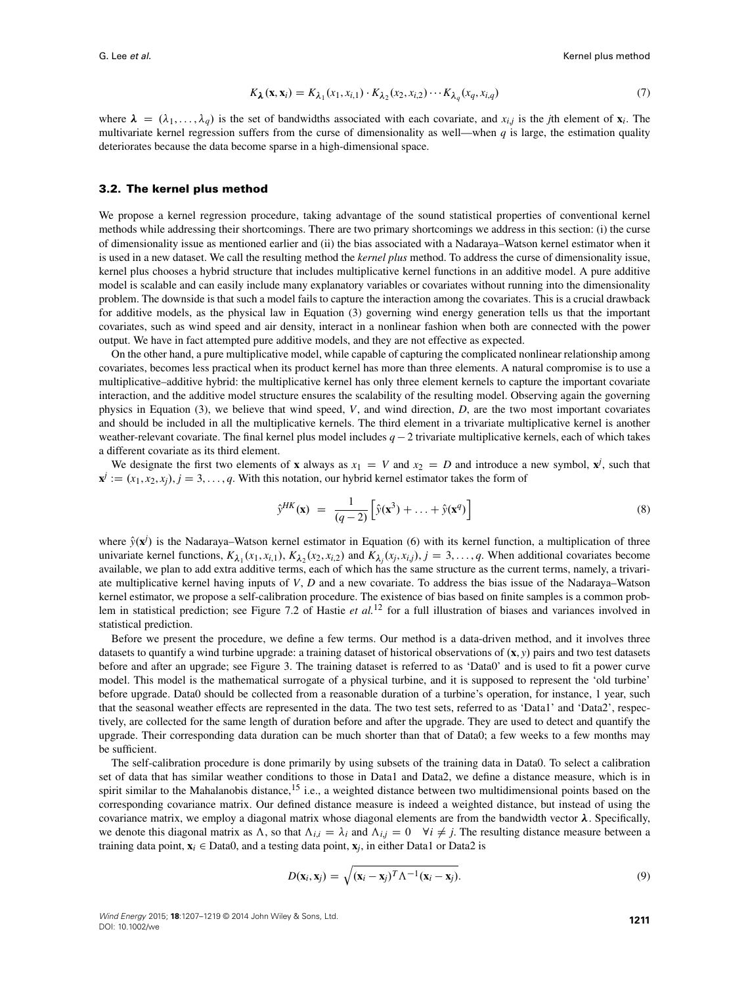$$
K_{\lambda}(\mathbf{x}, \mathbf{x}_i) = K_{\lambda_1}(x_1, x_{i,1}) \cdot K_{\lambda_2}(x_2, x_{i,2}) \cdots K_{\lambda_q}(x_q, x_{i,q}) \tag{7}
$$

where  $\lambda = (\lambda_1, \dots, \lambda_q)$  is the set of bandwidths associated with each covariate, and  $x_{i,j}$  is the *j*th element of  $\mathbf{x}_i$ . The multivariate kernel regression suffers from the curse of dimensionality as well—when  $q$  is large, the estimation quality deteriorates because the data become sparse in a high-dimensional space.

#### **3.2. The kernel plus method**

We propose a kernel regression procedure, taking advantage of the sound statistical properties of conventional kernel methods while addressing their shortcomings. There are two primary shortcomings we address in this section: (i) the curse of dimensionality issue as mentioned earlier and (ii) the bias associated with a Nadaraya–Watson kernel estimator when it is used in a new dataset. We call the resulting method the *kernel plus* method. To address the curse of dimensionality issue, kernel plus chooses a hybrid structure that includes multiplicative kernel functions in an additive model. A pure additive model is scalable and can easily include many explanatory variables or covariates without running into the dimensionality problem. The downside is that such a model fails to capture the interaction among the covariates. This is a crucial drawback for additive models, as the physical law in Equation [\(3\)](#page-2-1) governing wind energy generation tells us that the important covariates, such as wind speed and air density, interact in a nonlinear fashion when both are connected with the power output. We have in fact attempted pure additive models, and they are not effective as expected.

On the other hand, a pure multiplicative model, while capable of capturing the complicated nonlinear relationship among covariates, becomes less practical when its product kernel has more than three elements. A natural compromise is to use a multiplicative–additive hybrid: the multiplicative kernel has only three element kernels to capture the important covariate interaction, and the additive model structure ensures the scalability of the resulting model. Observing again the governing physics in Equation [\(3\)](#page-2-1), we believe that wind speed, *V*, and wind direction, *D*, are the two most important covariates and should be included in all the multiplicative kernels. The third element in a trivariate multiplicative kernel is another weather-relevant covariate. The final kernel plus model includes  $q-2$  trivariate multiplicative kernels, each of which takes a different covariate as its third element.

We designate the first two elements of **x** always as  $x_1 = V$  and  $x_2 = D$  and introduce a new symbol,  $x^j$ , such that  $\mathbf{x}^j := (x_1, x_2, x_j), j = 3, \ldots, q$ . With this notation, our hybrid kernel estimator takes the form of

$$
\hat{\mathbf{y}}^{HK}(\mathbf{x}) = \frac{1}{(q-2)} \left[ \hat{\mathbf{y}}(\mathbf{x}^3) + \dots + \hat{\mathbf{y}}(\mathbf{x}^q) \right]
$$
\n(8)

where  $\hat{y}(\mathbf{x}^j)$  is the Nadaraya–Watson kernel estimator in Equation [\(6\)](#page-3-2) with its kernel function, a multiplication of three univariate kernel functions,  $K_{\lambda_1}(x_1, x_{i,1}), K_{\lambda_2}(x_2, x_{i,2})$  and  $K_{\lambda_j}(x_j, x_{i,j}), j = 3, \ldots, q$ . When additional covariates become available, we plan to add extra additive terms, each of which has the same structure as the current terms, namely, a trivariate multiplicative kernel having inputs of *V*, *D* and a new covariate. To address the bias issue of the Nadaraya–Watson kernel estimator, we propose a self-calibration procedure. The existence of bias based on finite samples is a common problem in statistical prediction; see Figure 7.2 of Hastie *et al.*<sup>12</sup> for a full illustration of biases and variances involved in statistical prediction.

Before we present the procedure, we define a few terms. Our method is a data-driven method, and it involves three datasets to quantify a wind turbine upgrade: a training dataset of historical observations of  $(\mathbf{x}, y)$  pairs and two test datasets before and after an upgrade; see Figure [3.](#page-5-0) The training dataset is referred to as 'Data0' and is used to fit a power curve model. This model is the mathematical surrogate of a physical turbine, and it is supposed to represent the 'old turbine' before upgrade. Data0 should be collected from a reasonable duration of a turbine's operation, for instance, 1 year, such that the seasonal weather effects are represented in the data. The two test sets, referred to as 'Data1' and 'Data2', respectively, are collected for the same length of duration before and after the upgrade. They are used to detect and quantify the upgrade. Their corresponding data duration can be much shorter than that of Data0; a few weeks to a few months may be sufficient.

The self-calibration procedure is done primarily by using subsets of the training data in Data0. To select a calibration set of data that has similar weather conditions to those in Data1 and Data2, we define a distance measure, which is in spirit similar to the Mahalanobis distance,<sup>15</sup> i.e., a weighted distance between two multidimensional points based on the corresponding covariance matrix. Our defined distance measure is indeed a weighted distance, but instead of using the covariance matrix, we employ a diagonal matrix whose diagonal elements are from the bandwidth vector  $\lambda$ . Specifically, we denote this diagonal matrix as  $\Lambda$ , so that  $\Lambda_{i,i} = \lambda_i$  and  $\Lambda_{i,j} = 0 \quad \forall i \neq j$ . The resulting distance measure between a training data point,  $\mathbf{x}_i \in \text{Data0}$ , and a testing data point,  $\mathbf{x}_i$ , in either Data1 or Data2 is

$$
D(\mathbf{x}_i, \mathbf{x}_j) = \sqrt{(\mathbf{x}_i - \mathbf{x}_j)^T \Lambda^{-1} (\mathbf{x}_i - \mathbf{x}_j)}.
$$
\n(9)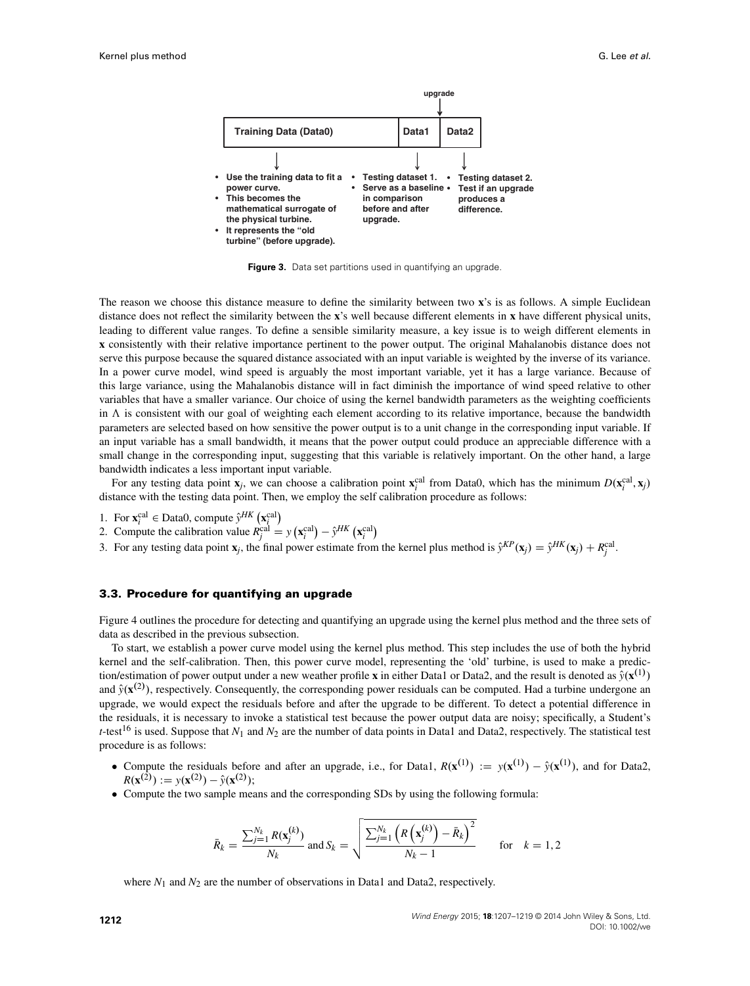

<span id="page-5-0"></span>**Figure 3.** Data set partitions used in quantifying an upgrade.

The reason we choose this distance measure to define the similarity between two **x**'s is as follows. A simple Euclidean distance does not reflect the similarity between the **x**'s well because different elements in **x** have different physical units, leading to different value ranges. To define a sensible similarity measure, a key issue is to weigh different elements in **x** consistently with their relative importance pertinent to the power output. The original Mahalanobis distance does not serve this purpose because the squared distance associated with an input variable is weighted by the inverse of its variance. In a power curve model, wind speed is arguably the most important variable, yet it has a large variance. Because of this large variance, using the Mahalanobis distance will in fact diminish the importance of wind speed relative to other variables that have a smaller variance. Our choice of using the kernel bandwidth parameters as the weighting coefficients in  $\Lambda$  is consistent with our goal of weighting each element according to its relative importance, because the bandwidth parameters are selected based on how sensitive the power output is to a unit change in the corresponding input variable. If an input variable has a small bandwidth, it means that the power output could produce an appreciable difference with a small change in the corresponding input, suggesting that this variable is relatively important. On the other hand, a large bandwidth indicates a less important input variable.

For any testing data point  $\mathbf{x}_j$ , we can choose a calibration point  $\mathbf{x}_i^{\text{cal}}$  from Data0, which has the minimum  $D(\mathbf{x}_i^{\text{cal}}, \mathbf{x}_j)$ distance with the testing data point. Then, we employ the self calibration procedure as follows:

- 1. For  $\mathbf{x}_i^{\text{cal}} \in \text{Data0, compute } \hat{y}^{HK} (\mathbf{x}_i^{\text{cal}})$
- 2. Compute the calibration value  $R_j^{\text{cal}} = y(\mathbf{x}_i^{\text{cal}}) \hat{y}^{HK}(\mathbf{x}_i^{\text{cal}})$
- 3. For any testing data point **x**<sub>*j*</sub>, the final power estimate from the kernel plus method is  $\hat{y}^{KP}(\mathbf{x}_j) = \hat{y}^{HK}(\mathbf{x}_j) + R_j^{\text{cal}}$ .

#### <span id="page-5-1"></span>**3.3. Procedure for quantifying an upgrade**

Figure [4](#page-6-1) outlines the procedure for detecting and quantifying an upgrade using the kernel plus method and the three sets of data as described in the previous subsection.

To start, we establish a power curve model using the kernel plus method. This step includes the use of both the hybrid kernel and the self-calibration. Then, this power curve model, representing the 'old' turbine, is used to make a prediction/estimation of power output under a new weather profile **x** in either Data1 or Data2, and the result is denoted as  $\hat{y}(\mathbf{x}^{(1)})$ and  $\hat{y}(\mathbf{x}^{(2)})$ , respectively. Consequently, the corresponding power residuals can be computed. Had a turbine undergone an upgrade, we would expect the residuals before and after the upgrade to be different. To detect a potential difference in the residuals, it is necessary to invoke a statistical test because the power output data are noisy; specifically, a Student's *t*-test<sup>16</sup> is used. Suppose that  $N_1$  and  $N_2$  are the number of data points in Data1 and Data2, respectively. The statistical test procedure is as follows:

- Compute the residuals before and after an upgrade, i.e., for Data1,  $R(\mathbf{x}^{(1)}) := y(\mathbf{x}^{(1)}) \hat{y}(\mathbf{x}^{(1)})$ , and for Data2,  $R(\mathbf{x}^{(2)}) := y(\mathbf{x}^{(2)}) - \hat{y}(\mathbf{x}^{(2)})$ ;
- Compute the two sample means and the corresponding SDs by using the following formula:

$$
\bar{R}_k = \frac{\sum_{j=1}^{N_k} R(\mathbf{x}_j^{(k)})}{N_k} \text{ and } S_k = \sqrt{\frac{\sum_{j=1}^{N_k} \left( R\left(\mathbf{x}_j^{(k)}\right) - \bar{R}_k \right)^2}{N_k - 1}} \quad \text{for} \quad k = 1, 2
$$

where  $N_1$  and  $N_2$  are the number of observations in Data1 and Data2, respectively.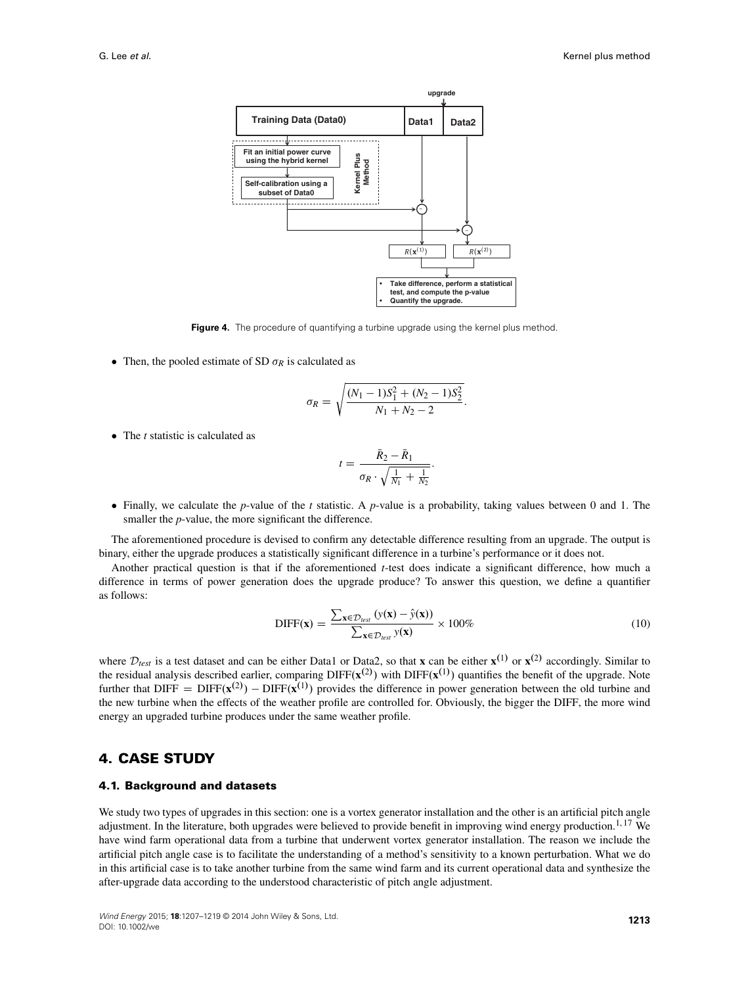

<span id="page-6-1"></span>**Figure 4.** The procedure of quantifying a turbine upgrade using the kernel plus method.

• Then, the pooled estimate of SD  $\sigma_R$  is calculated as

$$
\sigma_R = \sqrt{\frac{(N_1 - 1)S_1^2 + (N_2 - 1)S_2^2}{N_1 + N_2 - 2}}.
$$

• The *t* statistic is calculated as

$$
t = \frac{\bar{R}_2 - \bar{R}_1}{\sigma_R \cdot \sqrt{\frac{1}{N_1} + \frac{1}{N_2}}}.
$$

 Finally, we calculate the *p*-value of the *t* statistic. A *p*-value is a probability, taking values between 0 and 1. The smaller the *p*-value, the more significant the difference.

The aforementioned procedure is devised to confirm any detectable difference resulting from an upgrade. The output is binary, either the upgrade produces a statistically significant difference in a turbine's performance or it does not.

Another practical question is that if the aforementioned *t*-test does indicate a significant difference, how much a difference in terms of power generation does the upgrade produce? To answer this question, we define a quantifier as follows:

$$
\text{DIFF}(\mathbf{x}) = \frac{\sum_{\mathbf{x} \in \mathcal{D}_{\text{test}}} (y(\mathbf{x}) - \hat{y}(\mathbf{x}))}{\sum_{\mathbf{x} \in \mathcal{D}_{\text{test}}} y(\mathbf{x})} \times 100\%
$$
(10)

where  $D_{test}$  is a test dataset and can be either Data1 or Data2, so that **x** can be either **x**<sup>(1)</sup> or **x**<sup>(2)</sup> accordingly. Similar to the residual analysis described earlier, comparing DIFF $(\mathbf{x}^{(2)})$  with DIFF $(\mathbf{x}^{(1)})$  quantifies the benefit of the upgrade. Note further that DIFF = DIFF $(x^{(2)})$  - DIFF $(x^{(1)})$  provides the difference in power generation between the old turbine and the new turbine when the effects of the weather profile are controlled for. Obviously, the bigger the DIFF, the more wind energy an upgraded turbine produces under the same weather profile.

# <span id="page-6-0"></span>**4. CASE STUDY**

### **4.1. Background and datasets**

We study two types of upgrades in this section: one is a vortex generator installation and the other is an artificial pitch angle adjustment. In the literature, both upgrades were believed to provide benefit in improving wind energy production.<sup>1,17</sup> We have wind farm operational data from a turbine that underwent vortex generator installation. The reason we include the artificial pitch angle case is to facilitate the understanding of a method's sensitivity to a known perturbation. What we do in this artificial case is to take another turbine from the same wind farm and its current operational data and synthesize the after-upgrade data according to the understood characteristic of pitch angle adjustment.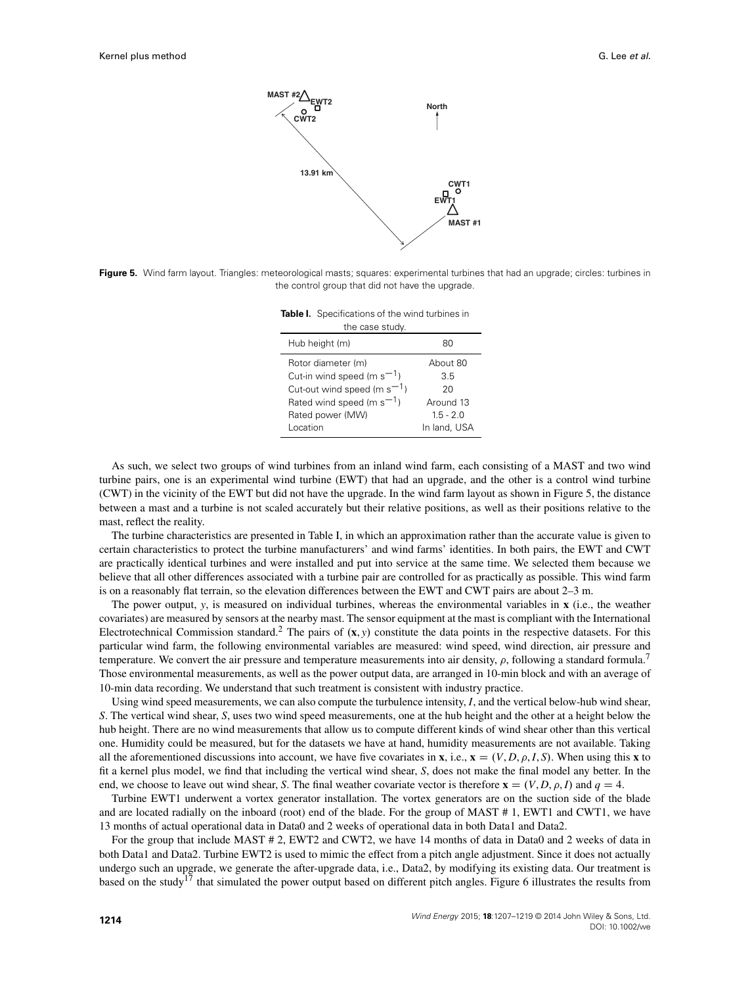

<span id="page-7-0"></span>**Figure 5.** Wind farm layout. Triangles: meteorological masts; squares: experimental turbines that had an upgrade; circles: turbines in the control group that did not have the upgrade.

<span id="page-7-1"></span>**Table I.** Specifications of the wind turbines in the case study.

| trie case stuuy.                 |              |  |  |  |  |
|----------------------------------|--------------|--|--|--|--|
| Hub height (m)                   | 80           |  |  |  |  |
| Rotor diameter (m)               | About 80     |  |  |  |  |
| Cut-in wind speed (m $s^{-1}$ )  | 35           |  |  |  |  |
| Cut-out wind speed (m $s^{-1}$ ) | 20           |  |  |  |  |
| Rated wind speed (m $s^{-1}$ )   | Around 13    |  |  |  |  |
| Rated power (MW)                 | $15 - 20$    |  |  |  |  |
| Location                         | In land, USA |  |  |  |  |

As such, we select two groups of wind turbines from an inland wind farm, each consisting of a MAST and two wind turbine pairs, one is an experimental wind turbine (EWT) that had an upgrade, and the other is a control wind turbine (CWT) in the vicinity of the EWT but did not have the upgrade. In the wind farm layout as shown in Figure [5,](#page-7-0) the distance between a mast and a turbine is not scaled accurately but their relative positions, as well as their positions relative to the mast, reflect the reality.

The turbine characteristics are presented in Table [I,](#page-7-1) in which an approximation rather than the accurate value is given to certain characteristics to protect the turbine manufacturers' and wind farms' identities. In both pairs, the EWT and CWT are practically identical turbines and were installed and put into service at the same time. We selected them because we believe that all other differences associated with a turbine pair are controlled for as practically as possible. This wind farm is on a reasonably flat terrain, so the elevation differences between the EWT and CWT pairs are about 2–3 m.

The power output, *y*, is measured on individual turbines, whereas the environmental variables in **x** (i.e., the weather covariates) are measured by sensors at the nearby mast. The sensor equipment at the mast is compliant with the International Electrotechnical Commission standard.<sup>2</sup> The pairs of  $(x, y)$  constitute the data points in the respective datasets. For this particular wind farm, the following environmental variables are measured: wind speed, wind direction, air pressure and temperature. We convert the air pressure and temperature measurements into air density,  $\rho$ , following a standard formula.<sup>7</sup> Those environmental measurements, as well as the power output data, are arranged in 10-min block and with an average of 10-min data recording. We understand that such treatment is consistent with industry practice.

Using wind speed measurements, we can also compute the turbulence intensity, *I*, and the vertical below-hub wind shear, *S*. The vertical wind shear, *S*, uses two wind speed measurements, one at the hub height and the other at a height below the hub height. There are no wind measurements that allow us to compute different kinds of wind shear other than this vertical one. Humidity could be measured, but for the datasets we have at hand, humidity measurements are not available. Taking all the aforementioned discussions into account, we have five covariates in **x**, i.e.,  $\mathbf{x} = (V, D, \rho, I, S)$ . When using this **x** to fit a kernel plus model, we find that including the vertical wind shear, *S*, does not make the final model any better. In the end, we choose to leave out wind shear, *S*. The final weather covariate vector is therefore  $\mathbf{x} = (V, D, \rho, I)$  and  $q = 4$ .

Turbine EWT1 underwent a vortex generator installation. The vortex generators are on the suction side of the blade and are located radially on the inboard (root) end of the blade. For the group of MAST # 1, EWT1 and CWT1, we have 13 months of actual operational data in Data0 and 2 weeks of operational data in both Data1 and Data2.

For the group that include MAST # 2, EWT2 and CWT2, we have 14 months of data in Data0 and 2 weeks of data in both Data1 and Data2. Turbine EWT2 is used to mimic the effect from a pitch angle adjustment. Since it does not actually undergo such an upgrade, we generate the after-upgrade data, i.e., Data2, by modifying its existing data. Our treatment is based on the study<sup>17</sup> that simulated the power output based on different pitch angles. Figure [6](#page-8-0) illustrates the results from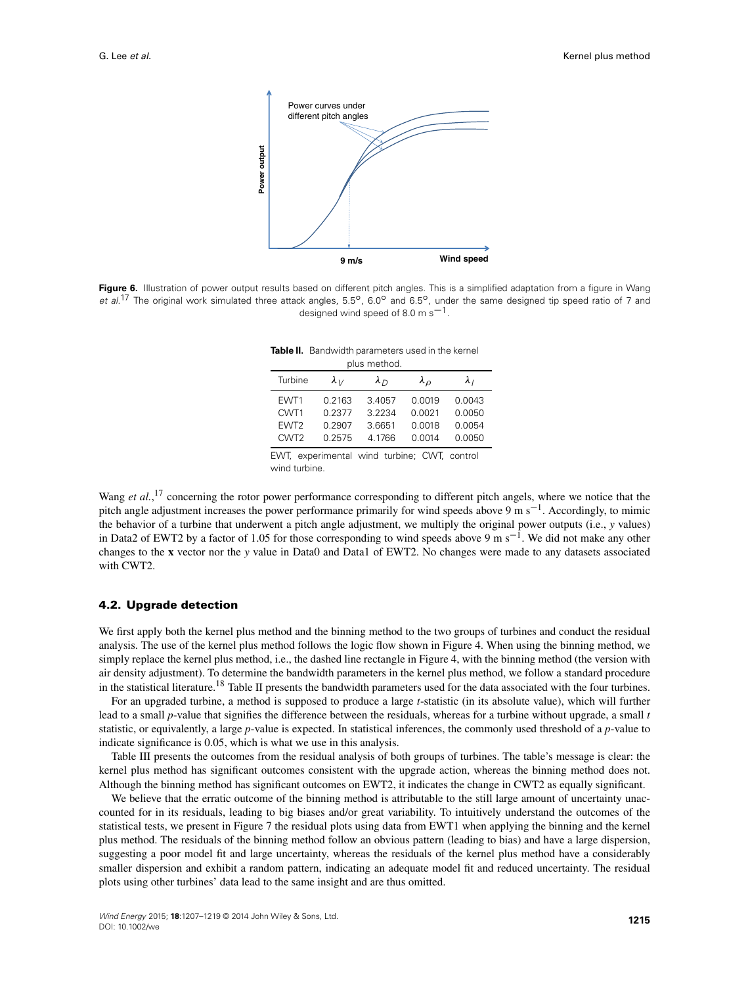

<span id="page-8-0"></span>Figure 6. Illustration of power output results based on different pitch angles. This is a simplified adaptation from a figure in Wang et al.<sup>17</sup> The original work simulated three attack angles,  $5.5^{\circ}$ ,  $6.0^{\circ}$  and  $6.5^{\circ}$ , under the same designed tip speed ratio of 7 and designed wind speed of 8.0 m  $s^{-1}$ .

<span id="page-8-1"></span>

| <b>Table II.</b> Bandwidth parameters used in the kernel |
|----------------------------------------------------------|
| plus method.                                             |

| Turbine          | $\lambda_{V}$ | $\lambda_{D}$ | $\lambda_{\Omega}$ | λι     |
|------------------|---------------|---------------|--------------------|--------|
| EWT1             | 0.2163        | 3.4057        | 0.0019             | 0.0043 |
| CWT1             | 0.2377        | 3.2234        | 0.0021             | 0.0050 |
| EWT <sub>2</sub> | 0.2907        | 3.6651        | 0.0018             | 0.0054 |
| CWT <sub>2</sub> | 0.2575        | 4.1766        | 0.0014             | 0.0050 |
|                  |               |               |                    |        |

EWT, experimental wind turbine; CWT, control wind turbine.

Wang *et al.*,<sup>17</sup> concerning the rotor power performance corresponding to different pitch angels, where we notice that the pitch angle adjustment increases the power performance primarily for wind speeds above 9 m s<sup>-1</sup>. Accordingly, to mimic the behavior of a turbine that underwent a pitch angle adjustment, we multiply the original power outputs (i.e., *y* values) in Data2 of EWT2 by a factor of 1.05 for those corresponding to wind speeds above 9 m  $s^{-1}$ . We did not make any other changes to the **x** vector nor the *y* value in Data0 and Data1 of EWT2. No changes were made to any datasets associated with CWT2.

#### **4.2. Upgrade detection**

We first apply both the kernel plus method and the binning method to the two groups of turbines and conduct the residual analysis. The use of the kernel plus method follows the logic flow shown in Figure [4.](#page-6-1) When using the binning method, we simply replace the kernel plus method, i.e., the dashed line rectangle in Figure [4,](#page-6-1) with the binning method (the version with air density adjustment). To determine the bandwidth parameters in the kernel plus method, we follow a standard procedure in the statistical literature.<sup>18</sup> Table [II](#page-8-1) presents the bandwidth parameters used for the data associated with the four turbines.

For an upgraded turbine, a method is supposed to produce a large *t*-statistic (in its absolute value), which will further lead to a small *p*-value that signifies the difference between the residuals, whereas for a turbine without upgrade, a small *t* statistic, or equivalently, a large *p*-value is expected. In statistical inferences, the commonly used threshold of a *p*-value to indicate significance is 0.05, which is what we use in this analysis.

Table [III](#page-9-0) presents the outcomes from the residual analysis of both groups of turbines. The table's message is clear: the kernel plus method has significant outcomes consistent with the upgrade action, whereas the binning method does not. Although the binning method has significant outcomes on EWT2, it indicates the change in CWT2 as equally significant.

We believe that the erratic outcome of the binning method is attributable to the still large amount of uncertainty unaccounted for in its residuals, leading to big biases and/or great variability. To intuitively understand the outcomes of the statistical tests, we present in Figure [7](#page-9-1) the residual plots using data from EWT1 when applying the binning and the kernel plus method. The residuals of the binning method follow an obvious pattern (leading to bias) and have a large dispersion, suggesting a poor model fit and large uncertainty, whereas the residuals of the kernel plus method have a considerably smaller dispersion and exhibit a random pattern, indicating an adequate model fit and reduced uncertainty. The residual plots using other turbines' data lead to the same insight and are thus omitted.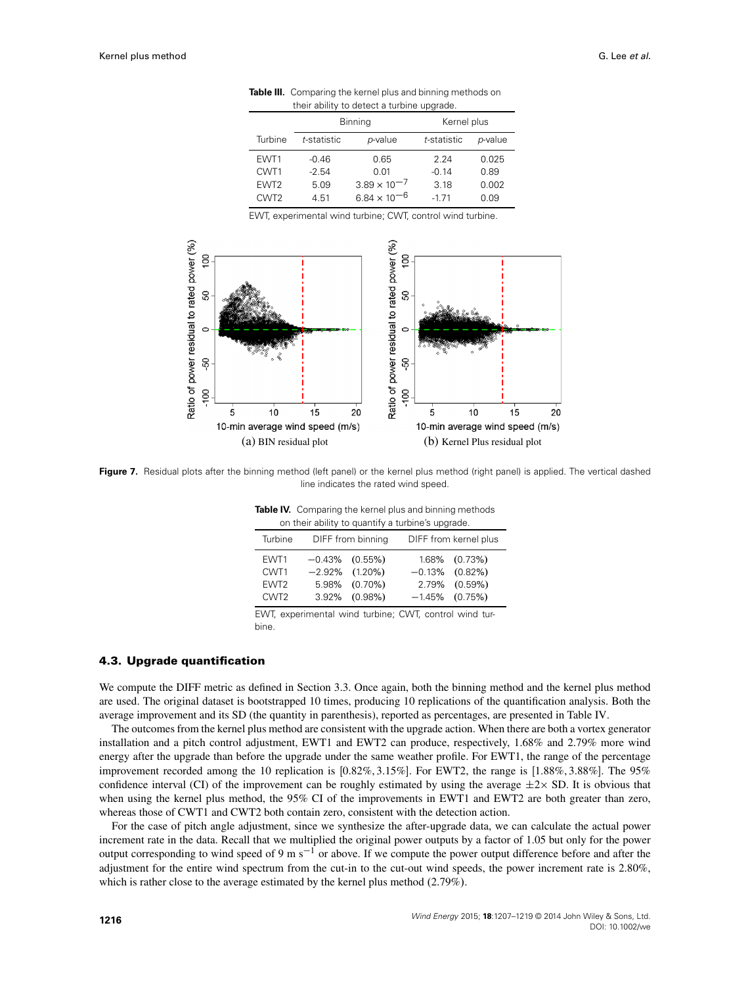|                  |             | <b>Binning</b>        | Kernel plus |         |
|------------------|-------------|-----------------------|-------------|---------|
| Turbine          | t-statistic | p-value               | t-statistic | p-value |
| EWT1             | $-0.46$     | 0.65                  | 224         | 0.025   |
| CWT <sub>1</sub> | $-2.54$     | 0.01                  | $-0.14$     | 0.89    |
| EWT <sub>2</sub> | 5.09        | $3.89 \times 10^{-7}$ | 3.18        | 0.002   |
| CWT <sub>2</sub> | 4.51        | $6.84 \times 10^{-6}$ | $-171$      | 0.09    |

<span id="page-9-0"></span>**Table III.** Comparing the kernel plus and binning methods on their ability to detect a turbine upgrade.

EWT, experimental wind turbine; CWT, control wind turbine.



<span id="page-9-1"></span>Figure 7. Residual plots after the binning method (left panel) or the kernel plus method (right panel) is applied. The vertical dashed line indicates the rated wind speed.

<span id="page-9-2"></span>

|  |  |  | <b>Table IV.</b> Comparing the kernel plus and binning methods |  |
|--|--|--|----------------------------------------------------------------|--|
|  |  |  | on their ability to quantify a turbine's upgrade.              |  |

| Turbine                                              | DIFF from binning |                                                                          | DIFF from kernel plus |                                                                             |  |  |
|------------------------------------------------------|-------------------|--------------------------------------------------------------------------|-----------------------|-----------------------------------------------------------------------------|--|--|
| EWT1<br>CWT1<br>EWT <sub>2</sub><br>CWT <sub>2</sub> |                   | $-0.43\%$ (0.55%)<br>$-2.92\%$ (1.20%)<br>5.98% (0.70%)<br>3.92% (0.98%) |                       | 1.68% (0.73%)<br>$-0.13\%$ $(0.82\%)$<br>2.79% (0.59%)<br>$-1.45\%$ (0.75%) |  |  |

EWT, experimental wind turbine; CWT, control wind turbine.

### **4.3. Upgrade quantification**

We compute the DIFF metric as defined in Section [3.3.](#page-5-1) Once again, both the binning method and the kernel plus method are used. The original dataset is bootstrapped 10 times, producing 10 replications of the quantification analysis. Both the average improvement and its SD (the quantity in parenthesis), reported as percentages, are presented in Table [IV.](#page-9-2)

The outcomes from the kernel plus method are consistent with the upgrade action. When there are both a vortex generator installation and a pitch control adjustment, EWT1 and EWT2 can produce, respectively, 1.68% and 2.79% more wind energy after the upgrade than before the upgrade under the same weather profile. For EWT1, the range of the percentage improvement recorded among the 10 replication is  $[0.82\%, 3.15\%]$ . For EWT2, the range is  $[1.88\%, 3.88\%]$ . The 95% confidence interval (CI) of the improvement can be roughly estimated by using the average  $\pm 2\times$  SD. It is obvious that when using the kernel plus method, the 95% CI of the improvements in EWT1 and EWT2 are both greater than zero, whereas those of CWT1 and CWT2 both contain zero, consistent with the detection action.

For the case of pitch angle adjustment, since we synthesize the after-upgrade data, we can calculate the actual power increment rate in the data. Recall that we multiplied the original power outputs by a factor of 1.05 but only for the power output corresponding to wind speed of 9 m s<sup>-1</sup> or above. If we compute the power output difference before and after the adjustment for the entire wind spectrum from the cut-in to the cut-out wind speeds, the power increment rate is 2.80%, which is rather close to the average estimated by the kernel plus method  $(2.79\%)$ .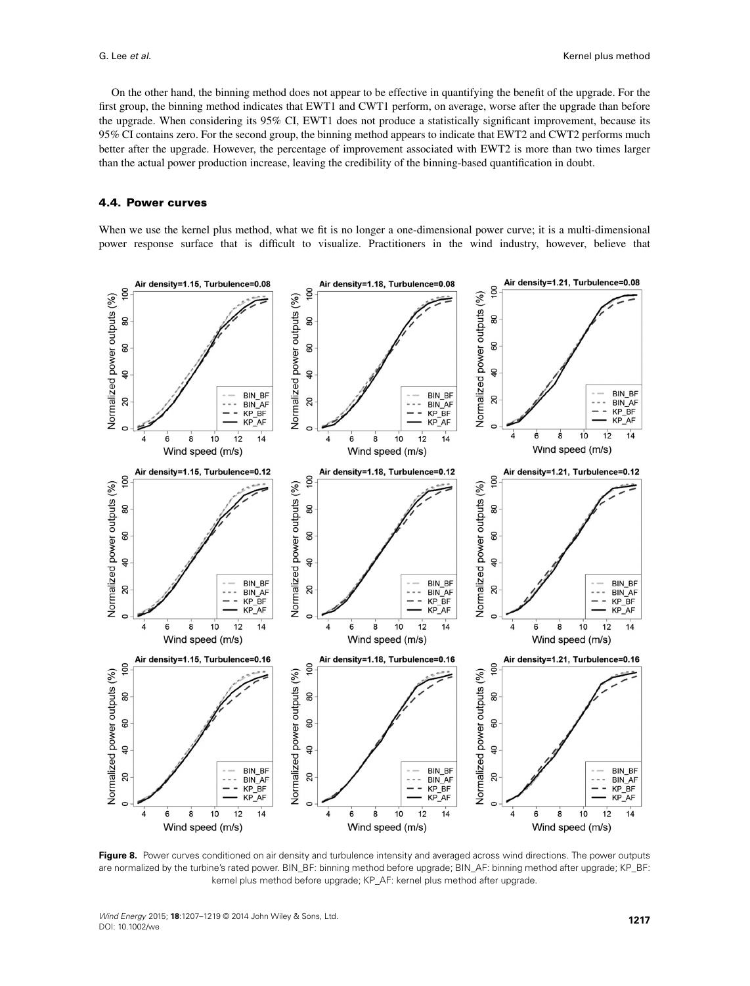On the other hand, the binning method does not appear to be effective in quantifying the benefit of the upgrade. For the first group, the binning method indicates that EWT1 and CWT1 perform, on average, worse after the upgrade than before the upgrade. When considering its 95% CI, EWT1 does not produce a statistically significant improvement, because its 95% CI contains zero. For the second group, the binning method appears to indicate that EWT2 and CWT2 performs much better after the upgrade. However, the percentage of improvement associated with EWT2 is more than two times larger than the actual power production increase, leaving the credibility of the binning-based quantification in doubt.

## **4.4. Power curves**

When we use the kernel plus method, what we fit is no longer a one-dimensional power curve; it is a multi-dimensional power response surface that is difficult to visualize. Practitioners in the wind industry, however, believe that



<span id="page-10-0"></span>**Figure 8.** Power curves conditioned on air density and turbulence intensity and averaged across wind directions. The power outputs are normalized by the turbine's rated power. BIN\_BF: binning method before upgrade; BIN\_AF: binning method after upgrade; KP\_BF: kernel plus method before upgrade; KP\_AF: kernel plus method after upgrade.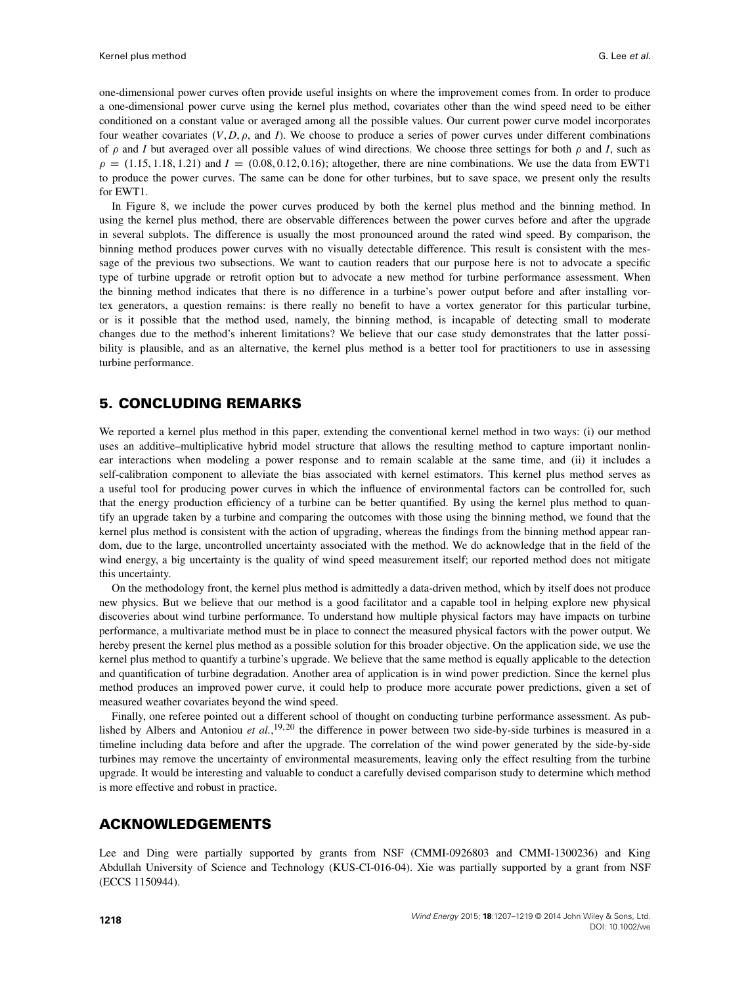one-dimensional power curves often provide useful insights on where the improvement comes from. In order to produce a one-dimensional power curve using the kernel plus method, covariates other than the wind speed need to be either conditioned on a constant value or averaged among all the possible values. Our current power curve model incorporates four weather covariates  $(V, D, \rho,$  and *I*). We choose to produce a series of power curves under different combinations of  $\rho$  and *I* but averaged over all possible values of wind directions. We choose three settings for both  $\rho$  and *I*, such as  $\rho = (1.15, 1.18, 1.21)$  and  $I = (0.08, 0.12, 0.16)$ ; altogether, there are nine combinations. We use the data from EWT1 to produce the power curves. The same can be done for other turbines, but to save space, we present only the results for EWT1.

In Figure [8,](#page-10-0) we include the power curves produced by both the kernel plus method and the binning method. In using the kernel plus method, there are observable differences between the power curves before and after the upgrade in several subplots. The difference is usually the most pronounced around the rated wind speed. By comparison, the binning method produces power curves with no visually detectable difference. This result is consistent with the message of the previous two subsections. We want to caution readers that our purpose here is not to advocate a specific type of turbine upgrade or retrofit option but to advocate a new method for turbine performance assessment. When the binning method indicates that there is no difference in a turbine's power output before and after installing vortex generators, a question remains: is there really no benefit to have a vortex generator for this particular turbine, or is it possible that the method used, namely, the binning method, is incapable of detecting small to moderate changes due to the method's inherent limitations? We believe that our case study demonstrates that the latter possibility is plausible, and as an alternative, the kernel plus method is a better tool for practitioners to use in assessing turbine performance.

# <span id="page-11-0"></span>**5. CONCLUDING REMARKS**

We reported a kernel plus method in this paper, extending the conventional kernel method in two ways: (i) our method uses an additive–multiplicative hybrid model structure that allows the resulting method to capture important nonlinear interactions when modeling a power response and to remain scalable at the same time, and (ii) it includes a self-calibration component to alleviate the bias associated with kernel estimators. This kernel plus method serves as a useful tool for producing power curves in which the influence of environmental factors can be controlled for, such that the energy production efficiency of a turbine can be better quantified. By using the kernel plus method to quantify an upgrade taken by a turbine and comparing the outcomes with those using the binning method, we found that the kernel plus method is consistent with the action of upgrading, whereas the findings from the binning method appear random, due to the large, uncontrolled uncertainty associated with the method. We do acknowledge that in the field of the wind energy, a big uncertainty is the quality of wind speed measurement itself; our reported method does not mitigate this uncertainty.

On the methodology front, the kernel plus method is admittedly a data-driven method, which by itself does not produce new physics. But we believe that our method is a good facilitator and a capable tool in helping explore new physical discoveries about wind turbine performance. To understand how multiple physical factors may have impacts on turbine performance, a multivariate method must be in place to connect the measured physical factors with the power output. We hereby present the kernel plus method as a possible solution for this broader objective. On the application side, we use the kernel plus method to quantify a turbine's upgrade. We believe that the same method is equally applicable to the detection and quantification of turbine degradation. Another area of application is in wind power prediction. Since the kernel plus method produces an improved power curve, it could help to produce more accurate power predictions, given a set of measured weather covariates beyond the wind speed.

Finally, one referee pointed out a different school of thought on conducting turbine performance assessment. As published by Albers and Antoniou et al.,<sup>19,20</sup> the difference in power between two side-by-side turbines is measured in a timeline including data before and after the upgrade. The correlation of the wind power generated by the side-by-side turbines may remove the uncertainty of environmental measurements, leaving only the effect resulting from the turbine upgrade. It would be interesting and valuable to conduct a carefully devised comparison study to determine which method is more effective and robust in practice.

## **ACKNOWLEDGEMENTS**

Lee and Ding were partially supported by grants from NSF (CMMI-0926803 and CMMI-1300236) and King Abdullah University of Science and Technology (KUS-CI-016-04). Xie was partially supported by a grant from NSF (ECCS 1150944).